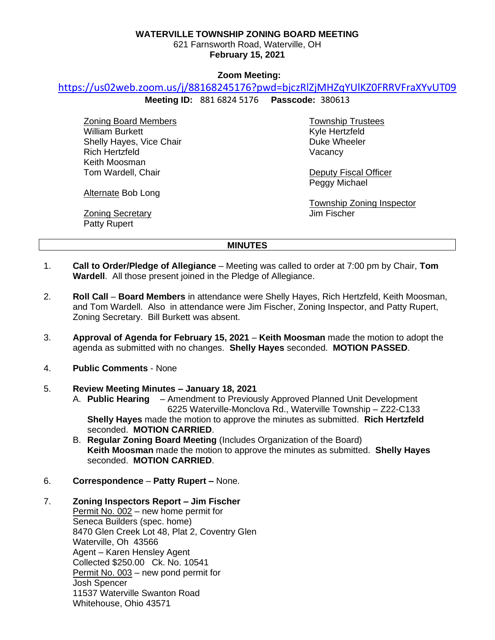### **WATERVILLE TOWNSHIP ZONING BOARD MEETING**

621 Farnsworth Road, Waterville, OH **February 15, 2021**

### **Zoom Meeting:**

# <https://us02web.zoom.us/j/88168245176?pwd=bjczRlZjMHZqYUlKZ0FRRVFraXYvUT09>

**Meeting ID:** 881 6824 5176 **Passcode:** 380613

Zoning Board Members William Burkett Shelly Hayes, Vice Chair Rich Hertzfeld Keith Moosman Tom Wardell, Chair

Township Trustees Kyle Hertzfeld Duke Wheeler **Vacancy** 

Deputy Fiscal Officer Peggy Michael

Township Zoning Inspector Jim Fischer

Alternate Bob Long

**Zoning Secretary** Patty Rupert

### **MINUTES**

- 1. **Call to Order/Pledge of Allegiance** Meeting was called to order at 7:00 pm by Chair, **Tom Wardell**. All those present joined in the Pledge of Allegiance.
- 2. **Roll Call Board Members** in attendance were Shelly Hayes, Rich Hertzfeld, Keith Moosman, and Tom Wardell. Also in attendance were Jim Fischer, Zoning Inspector, and Patty Rupert, Zoning Secretary. Bill Burkett was absent.
- 3. **Approval of Agenda for February 15, 2021 Keith Moosman** made the motion to adopt the agenda as submitted with no changes. **Shelly Hayes** seconded. **MOTION PASSED**.
- 4. **Public Comments** None

# 5. **Review Meeting Minutes – January 18, 2021**

- A. **Public Hearing** Amendment to Previously Approved Planned Unit Development 6225 Waterville-Monclova Rd., Waterville Township – Z22-C133 **Shelly Hayes** made the motion to approve the minutes as submitted. **Rich Hertzfeld** seconded. **MOTION CARRIED**.
- B. **Regular Zoning Board Meeting** (Includes Organization of the Board) **Keith Moosman** made the motion to approve the minutes as submitted. **Shelly Hayes** seconded. **MOTION CARRIED**.
- 6. **Correspondence Patty Rupert –** None.

### 7. **Zoning Inspectors Report – Jim Fischer**

Permit No. 002 – new home permit for Seneca Builders (spec. home) 8470 Glen Creek Lot 48, Plat 2, Coventry Glen Waterville, Oh 43566 Agent – Karen Hensley Agent Collected \$250.00 Ck. No. 10541 Permit No. 003 - new pond permit for Josh Spencer 11537 Waterville Swanton Road Whitehouse, Ohio 43571